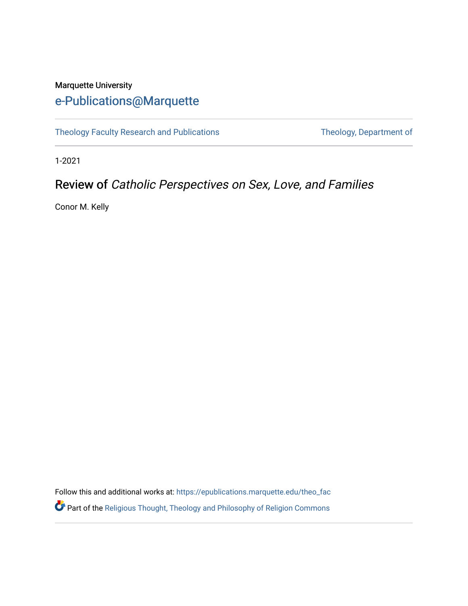## Marquette University [e-Publications@Marquette](https://epublications.marquette.edu/)

[Theology Faculty Research and Publications](https://epublications.marquette.edu/theo_fac) Theology, Department of

1-2021

## Review of Catholic Perspectives on Sex, Love, and Families

Conor M. Kelly

Follow this and additional works at: [https://epublications.marquette.edu/theo\\_fac](https://epublications.marquette.edu/theo_fac?utm_source=epublications.marquette.edu%2Ftheo_fac%2F802&utm_medium=PDF&utm_campaign=PDFCoverPages)  Part of the [Religious Thought, Theology and Philosophy of Religion Commons](http://network.bepress.com/hgg/discipline/544?utm_source=epublications.marquette.edu%2Ftheo_fac%2F802&utm_medium=PDF&utm_campaign=PDFCoverPages)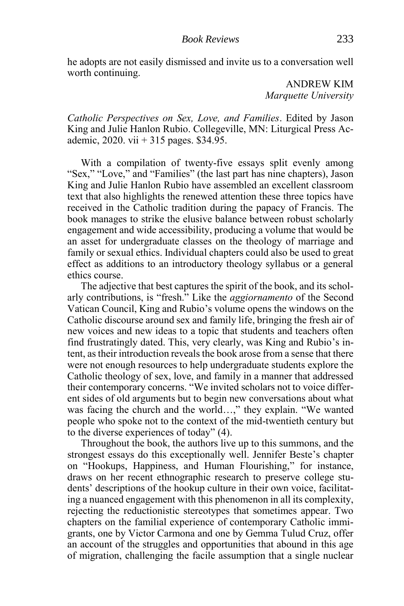he adopts are not easily dismissed and invite us to a conversation well worth continuing.

> ANDREW KIM *Marquette University*

*Catholic Perspectives on Sex, Love, and Families*. Edited by Jason King and Julie Hanlon Rubio. Collegeville, MN: Liturgical Press Academic, 2020. vii + 315 pages. \$34.95.

With a compilation of twenty-five essays split evenly among "Sex," "Love," and "Families" (the last part has nine chapters), Jason King and Julie Hanlon Rubio have assembled an excellent classroom text that also highlights the renewed attention these three topics have received in the Catholic tradition during the papacy of Francis. The book manages to strike the elusive balance between robust scholarly engagement and wide accessibility, producing a volume that would be an asset for undergraduate classes on the theology of marriage and family or sexual ethics. Individual chapters could also be used to great effect as additions to an introductory theology syllabus or a general ethics course.

The adjective that best captures the spirit of the book, and its scholarly contributions, is "fresh." Like the *aggiornamento* of the Second Vatican Council, King and Rubio's volume opens the windows on the Catholic discourse around sex and family life, bringing the fresh air of new voices and new ideas to a topic that students and teachers often find frustratingly dated. This, very clearly, was King and Rubio's intent, as their introduction reveals the book arose from a sense that there were not enough resources to help undergraduate students explore the Catholic theology of sex, love, and family in a manner that addressed their contemporary concerns. "We invited scholars not to voice different sides of old arguments but to begin new conversations about what was facing the church and the world...," they explain. "We wanted people who spoke not to the context of the mid-twentieth century but to the diverse experiences of today" (4).

Throughout the book, the authors live up to this summons, and the strongest essays do this exceptionally well. Jennifer Beste's chapter on "Hookups, Happiness, and Human Flourishing," for instance, draws on her recent ethnographic research to preserve college students' descriptions of the hookup culture in their own voice, facilitating a nuanced engagement with this phenomenon in all its complexity, rejecting the reductionistic stereotypes that sometimes appear. Two chapters on the familial experience of contemporary Catholic immigrants, one by Victor Carmona and one by Gemma Tulud Cruz, offer an account of the struggles and opportunities that abound in this age of migration, challenging the facile assumption that a single nuclear